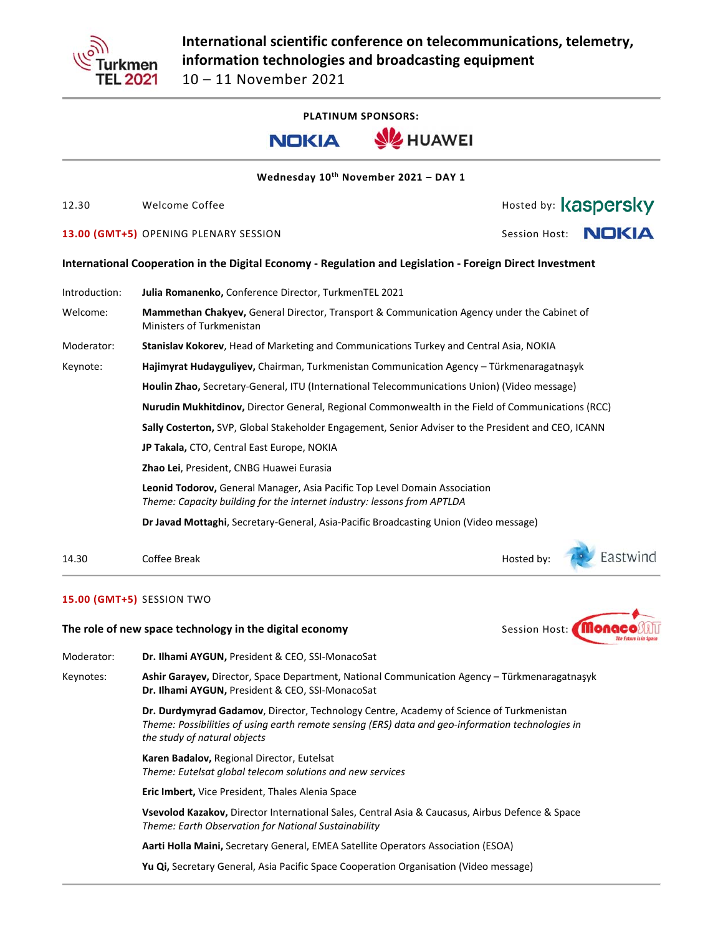

**PLATINUM SPONSORS:**





**Wednesday 10th November 2021 – DAY 1** 

12.30 Welcome Coffee **The Contract of Executive Contract of Contract Automobile Property 13.00 (GMT+5)** OPENING PLENARY SESSION Session Host: **International Cooperation in the Digital Economy ‐ Regulation and Legislation ‐ Foreign Direct Investment**  Introduction: **Julia Romanenko,** Conference Director, TurkmenTEL 2021 Welcome: **Mammethan Chakyev,** General Director, Transport & Communication Agency under the Cabinet of Ministers of Turkmenistan Moderator: **Stanislav Kokorev**, Head of Marketing and Communications Turkey and Central Asia, NOKIA Keynote: **Hajimyrat Hudayguliyev,** Chairman, Turkmenistan Communication Agency – Türkmenaragatnaşyk  **Houlin Zhao,** Secretary‐General, ITU (International Telecommunications Union) (Video message) **Nurudin Mukhitdinov,** Director General, Regional Commonwealth in the Field of Communications (RCC) **Sally Costerton,** SVP, Global Stakeholder Engagement, Senior Adviser to the President and CEO, ICANN **JP Takala,** CTO, Central East Europe, NOKIA **Zhao Lei**, President, CNBG Huawei Eurasia **Leonid Todorov,** General Manager, Asia Pacific Top Level Domain Association *Theme: Capacity building for the internet industry: lessons from APTLDA* 

**Dr Javad Mottaghi**, Secretary‐General, Asia‐Pacific Broadcasting Union (Video message)

14.30 Coffee Break Hosted by:

## **15.00 (GMT+5)** SESSION TWO

**The role of new space technology in the digital economy Session Host:** Session Host:



Keynotes: **Ashir Garayev,** Director, Space Department, National Communication Agency – Türkmenaragatnaşyk **Dr. Ilhami AYGUN,** President & CEO, SSI‐MonacoSat

> **Dr. Durdymyrad Gadamov**, Director, Technology Centre, Academy of Science of Turkmenistan *Theme: Possibilities of using earth remote sensing (ERS) data and geo‐information technologies in the study of natural objects*

**Karen Badalov,** Regional Director, Eutelsat *Theme: Eutelsat global telecom solutions and new services*

**Eric Imbert,** Vice President, Thales Alenia Space

**Vsevolod Kazakov,** Director International Sales, Central Asia & Caucasus, Airbus Defence & Space *Theme: Earth Observation for National Sustainability* 

**Aarti Holla Maini,** Secretary General, EMEA Satellite Operators Association (ESOA)

**Yu Qi,** Secretary General, Asia Pacific Space Cooperation Organisation (Video message)



Eastwind